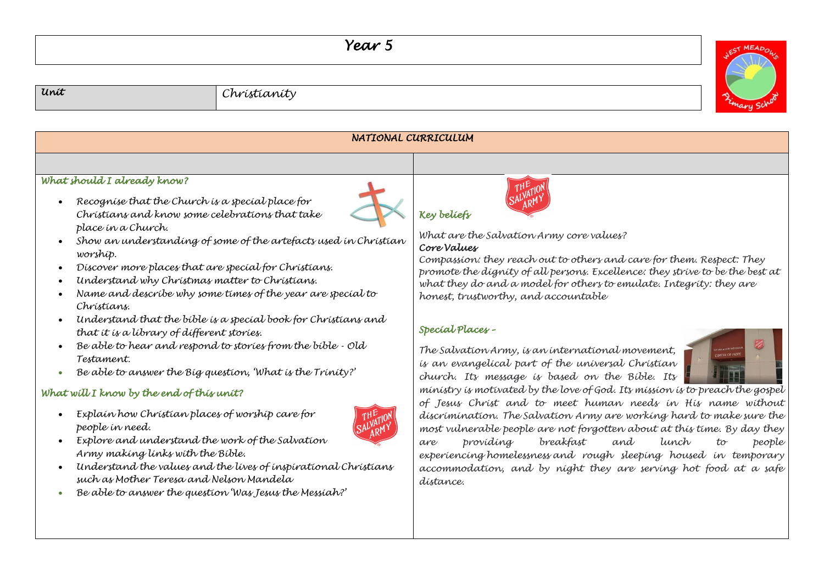## *Year 5*

*Unit Christianity*



| NATIONAL CURRICULUM                                                                                                                                                                                                                                                                                                                                                                                                                                                                                                                                                                                                                                                                                                                                                                                                                                                                                                                                                                                                                                                                 |                                                                                                                                                                                                                                                                                                                                                                                                                                                                                                                                                                                                                                                                                                                                                                                                                                                                                                                                                                                                                                                                 |  |
|-------------------------------------------------------------------------------------------------------------------------------------------------------------------------------------------------------------------------------------------------------------------------------------------------------------------------------------------------------------------------------------------------------------------------------------------------------------------------------------------------------------------------------------------------------------------------------------------------------------------------------------------------------------------------------------------------------------------------------------------------------------------------------------------------------------------------------------------------------------------------------------------------------------------------------------------------------------------------------------------------------------------------------------------------------------------------------------|-----------------------------------------------------------------------------------------------------------------------------------------------------------------------------------------------------------------------------------------------------------------------------------------------------------------------------------------------------------------------------------------------------------------------------------------------------------------------------------------------------------------------------------------------------------------------------------------------------------------------------------------------------------------------------------------------------------------------------------------------------------------------------------------------------------------------------------------------------------------------------------------------------------------------------------------------------------------------------------------------------------------------------------------------------------------|--|
|                                                                                                                                                                                                                                                                                                                                                                                                                                                                                                                                                                                                                                                                                                                                                                                                                                                                                                                                                                                                                                                                                     |                                                                                                                                                                                                                                                                                                                                                                                                                                                                                                                                                                                                                                                                                                                                                                                                                                                                                                                                                                                                                                                                 |  |
| What should I already know?<br>Recognise that the Church is a special place for<br>Christians and know some celebrations that take<br>place in a Church.<br>Show an understanding of some of the artefacts used in Christian<br>worship.<br>Discover more places that are special for Christians.<br>Understand why Christmas matter to Christians.<br>Name and describe why some times of the year are special to<br>Chrístians.<br>Understand that the bible is a special book for Christians and<br>that it is a library of different stories.<br>Be able to hear and respond to stories from the bible - Old<br>Testament.<br>Be able to answer the Big question, 'What is the Trinity?'<br>What will I know by the end of this unit?<br>Explain how Christian places of worship care for<br>people in need.<br>Explore and understand the work of the Salvation<br>Army making links with the Bible.<br>Understand the values and the lives of inspirational Christians<br>such as Mother Teresa and Nelson Mandela<br>Be able to answer the question 'Was Jesus the Messiah?' | <b>Key beliefs</b><br>What are the Salvation Army core values?<br>Core Values<br>Compassion: they reach out to others and care for them. Respect: They<br>promote the dignity of all persons. Excellence: they strive to be the best at<br>what they do and a model for others to emulate. Integrity: they are<br>honest, trustworthy, and accountable<br>Special Places -<br>The Salvation Army, is an international movement,<br>is an evangelical part of the universal Christian<br>church. Its message is based on the Bible. Its<br>ministry is motivated by the love of God. Its mission is to preach the gospel<br>of Jesus Christ and to meet human needs in His name without<br>discrimination. The Salvation Army are working hard to make sure the<br>most vulnerable people are not forgotten about at this time. By day they<br>provídíng<br>and<br>breakfast<br>tunch<br>people<br>to<br>are<br>experiencing homelessness and rough sleeping housed in temporary<br>accommodation, and by night they are serving hot food at a safe<br>dístance. |  |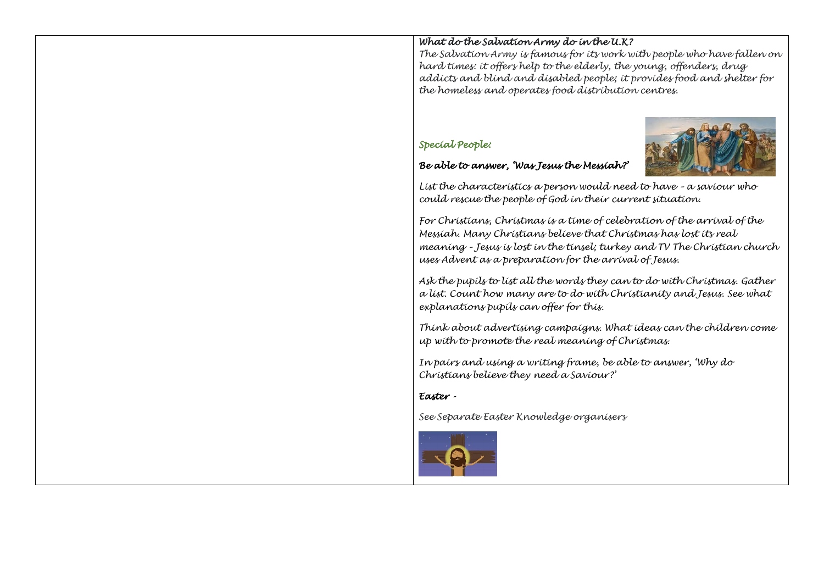## *What do the Salvation Army do in the U.K?*

*The Salvation Army is famous for its work with people who have fallen on hard times: it offers help to the elderly, the young, offenders, drug addicts and blind and disabled people; it provides food and shelter for the homeless and operates food distribution centres.*

## *Special People:*





*List the characteristics a person would need to have – a saviour who could rescue the people of God in their current situation.*

*For Christians, Christmas is a time of celebration of the arrival of the Messiah. Many Christians believe that Christmas has lost its real meaning – Jesus is lost in the tinsel; turkey and TV The Christian church uses Advent as a preparation for the arrival of Jesus.*

*Ask the pupils to list all the words they can to do with Christmas. Gather a list. Count how many are to do with Christianity and Jesus. See what explanations pupils can offer for this.*

*Think about advertising campaigns. What ideas can the children come up with to promote the real meaning of Christmas*.

*In pairs and using a writing frame, be able to answer, 'Why do Christians believe they need a Saviour?'*

## *Easter -*

*See Separate Easter Knowledge organisers*